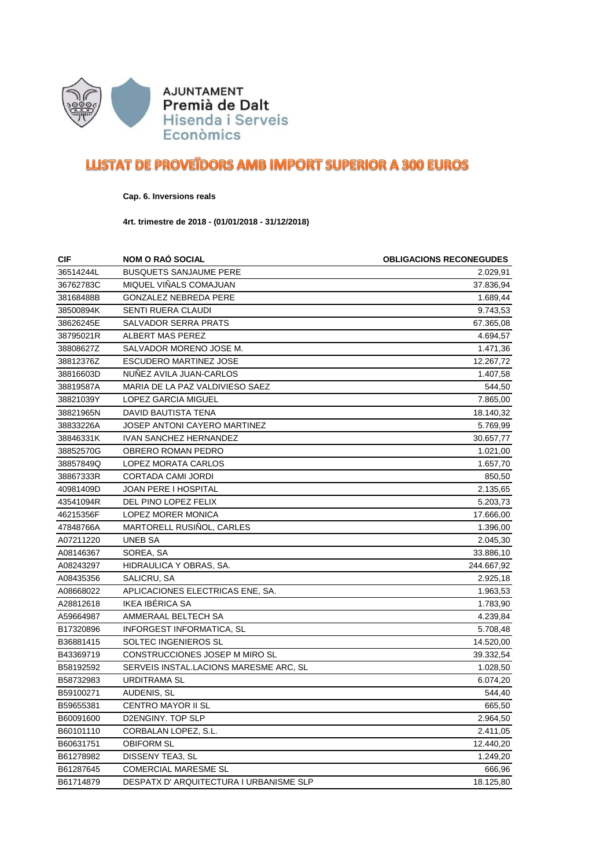

## **LLISTAT DE PROVETDORS AMB IMPORT SUPERIOR A 300 EUROS**

**Cap. 6. Inversions reals**

**4rt. trimestre de 2018 - (01/01/2018 - 31/12/2018)**

| <b>CIF</b> | <b>NOM O RAO SOCIAL</b>                 | <b>OBLIGACIONS RECONEGUDES</b> |
|------------|-----------------------------------------|--------------------------------|
| 36514244L  | <b>BUSQUETS SANJAUME PERE</b>           | 2.029,91                       |
| 36762783C  | MIQUEL VIÑALS COMAJUAN                  | 37.836,94                      |
| 38168488B  | <b>GONZALEZ NEBREDA PERE</b>            | 1.689,44                       |
| 38500894K  | SENTI RUERA CLAUDI                      | 9.743,53                       |
| 38626245E  | SALVADOR SERRA PRATS                    | 67.365,08                      |
| 38795021R  | ALBERT MAS PEREZ                        | 4.694,57                       |
| 38808627Z  | SALVADOR MORENO JOSE M.                 | 1.471,36                       |
| 38812376Z  | <b>ESCUDERO MARTINEZ JOSE</b>           | 12.267,72                      |
| 38816603D  | NUNEZ AVILA JUAN-CARLOS                 | 1.407,58                       |
| 38819587A  | MARIA DE LA PAZ VALDIVIESO SAEZ         | 544,50                         |
| 38821039Y  | LOPEZ GARCIA MIGUEL                     | 7.865,00                       |
| 38821965N  | DAVID BAUTISTA TENA                     | 18.140,32                      |
| 38833226A  | JOSEP ANTONI CAYERO MARTINEZ            | 5.769,99                       |
| 38846331K  | <b>IVAN SANCHEZ HERNANDEZ</b>           | 30.657,77                      |
| 38852570G  | OBRERO ROMAN PEDRO                      | 1.021,00                       |
| 38857849Q  | LOPEZ MORATA CARLOS                     | 1.657,70                       |
| 38867333R  | <b>CORTADA CAMI JORDI</b>               | 850,50                         |
| 40981409D  | JOAN PERE I HOSPITAL                    | 2.135,65                       |
| 43541094R  | DEL PINO LOPEZ FELIX                    | 5.203,73                       |
| 46215356F  | <b>LOPEZ MORER MONICA</b>               | 17.666,00                      |
| 47848766A  | MARTORELL RUSIÑOL, CARLES               | 1.396,00                       |
| A07211220  | UNEB SA                                 | 2.045,30                       |
| A08146367  | SOREA, SA                               | 33.886,10                      |
| A08243297  | HIDRAULICA Y OBRAS, SA.                 | 244.667,92                     |
| A08435356  | SALICRU, SA                             | 2.925,18                       |
| A08668022  | APLICACIONES ELECTRICAS ENE, SA.        | 1.963,53                       |
| A28812618  | <b>IKEA IBERICA SA</b>                  | 1.783,90                       |
| A59664987  | AMMERAAL BELTECH SA                     | 4.239,84                       |
| B17320896  | <b>INFORGEST INFORMATICA, SL</b>        | 5.708,48                       |
| B36881415  | SOLTEC INGENIEROS SL                    | 14.520,00                      |
| B43369719  | CONSTRUCCIONES JOSEP M MIRO SL          | 39.332,54                      |
| B58192592  | SERVEIS INSTAL.LACIONS MARESME ARC, SL  | 1.028,50                       |
| B58732983  | <b>URDITRAMA SL</b>                     | 6.074,20                       |
| B59100271  | AUDENIS, SL                             | 544,40                         |
| B59655381  | <b>CENTRO MAYOR II SL</b>               | 665,50                         |
| B60091600  | D2ENGINY. TOP SLP                       | 2.964,50                       |
| B60101110  | CORBALAN LOPEZ, S.L.                    | 2.411,05                       |
| B60631751  | <b>OBIFORM SL</b>                       | 12.440,20                      |
| B61278982  | DISSENY TEA3, SL                        | 1.249,20                       |
| B61287645  | <b>COMERCIAL MARESME SL</b>             | 666,96                         |
| B61714879  | DESPATX D' ARQUITECTURA I URBANISME SLP | 18.125,80                      |